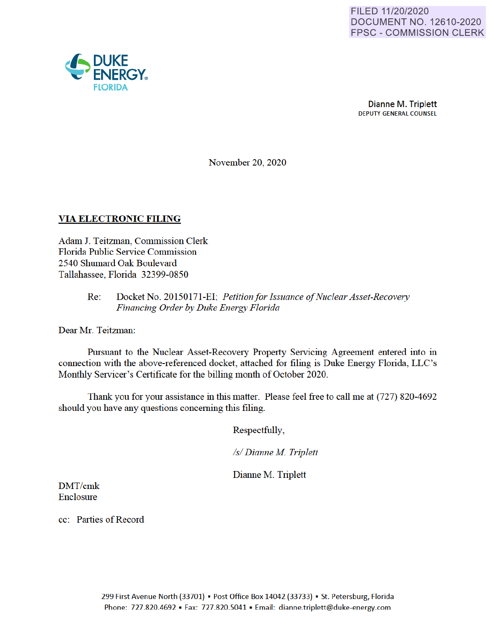

Dianne M. Triplett DEPUTY GENERAL COUNSEL

November 20, 2020

## **VIA ELECTRONIC FILING**

Adam J. Teitzman, Commission Clerk Florida Public Service Commission 2540 Shumard Oak Boulevard Tallahassee, Florida 32399-0850

> Re: Docket No. 20150171-EI· *Petition for Issuance of Nuclear Asset-Recovery Financing Order by Duke Energy Florida*

Dear Mr. Teitzman:

Pursuant to the Nuclear Asset-Recovery Property Servicing Agreement entered into in connection with the above-referenced docket, attached for filing is Duke Energy Florida, LLC's Monthly Servicer's Certificate for the billing month of October 2020.

Thank you for your assistance in this matter. Please feel free to call me at (727) 820-4692 should you have any questions concerning this filing.

Respectfully,

*Isl Dianne M Triplett* 

Dianne M. Triplett

DMT/cmk Enclosure

cc: Parties of Record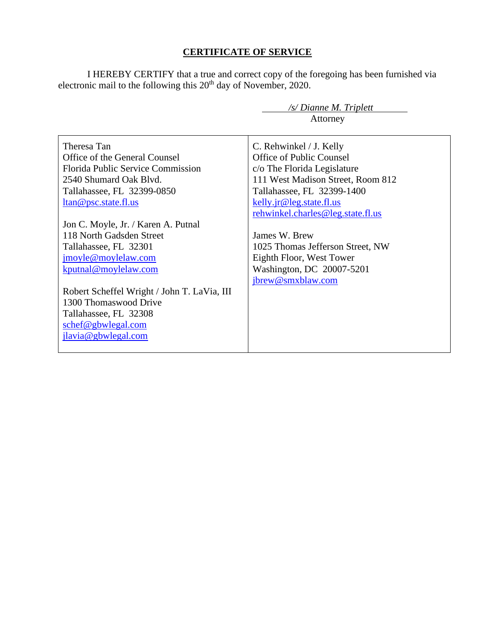## **CERTIFICATE OF SERVICE**

I HEREBY CERTIFY that a true and correct copy of the foregoing has been furnished via electronic mail to the following this 20<sup>th</sup> day of November, 2020.

| $\sqrt{s}$ Dianne M. Triplett               |                                   |  |
|---------------------------------------------|-----------------------------------|--|
|                                             | Attorney                          |  |
|                                             |                                   |  |
| Theresa Tan                                 | C. Rehwinkel / J. Kelly           |  |
| Office of the General Counsel               | Office of Public Counsel          |  |
| <b>Florida Public Service Commission</b>    | c/o The Florida Legislature       |  |
| 2540 Shumard Oak Blvd.                      | 111 West Madison Street, Room 812 |  |
| Tallahassee, FL 32399-0850                  | Tallahassee, FL 32399-1400        |  |
| ltan@psc.state.fl.us                        | kelly.jr@leg.state.fl.us          |  |
|                                             | rehwinkel.charles@leg.state.fl.us |  |
| Jon C. Moyle, Jr. / Karen A. Putnal         |                                   |  |
| 118 North Gadsden Street                    | James W. Brew                     |  |
| Tallahassee, FL 32301                       | 1025 Thomas Jefferson Street, NW  |  |
| jmoyle@moylelaw.com                         | Eighth Floor, West Tower          |  |
| kputnal@moylelaw.com                        | Washington, DC 20007-5201         |  |
|                                             | jbrew@smxblaw.com                 |  |
| Robert Scheffel Wright / John T. LaVia, III |                                   |  |
| 1300 Thomaswood Drive                       |                                   |  |
| Tallahassee, FL 32308                       |                                   |  |
| schef@gbwlegal.com                          |                                   |  |
| jlavia@gbwlegal.com                         |                                   |  |
|                                             |                                   |  |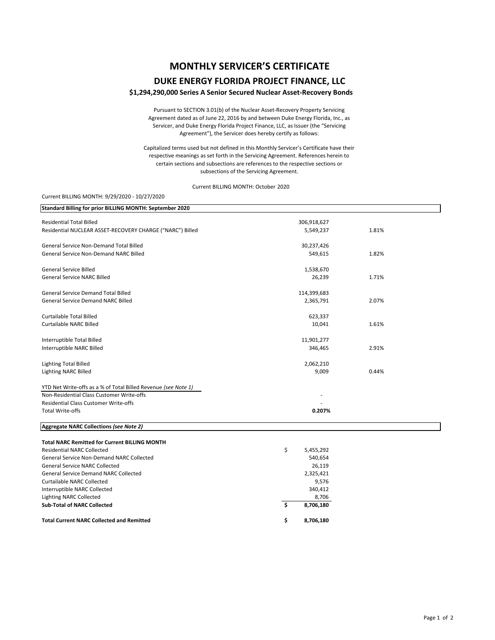# **MONTHLY SERVICER'S CERTIFICATE**

### **DUKE ENERGY FLORIDA PROJECT FINANCE, LLC**

#### **\$1,294,290,000 Series A Senior Secured Nuclear Asset‐Recovery Bonds**

Pursuant to SECTION 3.01(b) of the Nuclear Asset‐Recovery Property Servicing Agreement dated as of June 22, 2016 by and between Duke Energy Florida, Inc., as Servicer, and Duke Energy Florida Project Finance, LLC, as Issuer (the "Servicing Agreement"), the Servicer does hereby certify as follows:

Capitalized terms used but not defined in this Monthly Servicer's Certificate have their respective meanings as set forth in the Servicing Agreement. References herein to certain sections and subsections are references to the respective sections or subsections of the Servicing Agreement.

Current BILLING MONTH: October 2020

#### Current BILLING MONTH: 9/29/2020 ‐ 10/27/2020

| Standard Billing for prior BILLING MONTH: September 2020       |                  |       |
|----------------------------------------------------------------|------------------|-------|
| <b>Residential Total Billed</b>                                | 306,918,627      |       |
| Residential NUCLEAR ASSET-RECOVERY CHARGE ("NARC") Billed      | 5,549,237        | 1.81% |
| <b>General Service Non-Demand Total Billed</b>                 | 30,237,426       |       |
| General Service Non-Demand NARC Billed                         | 549,615          | 1.82% |
| <b>General Service Billed</b>                                  | 1,538,670        |       |
| <b>General Service NARC Billed</b>                             | 26,239           | 1.71% |
| <b>General Service Demand Total Billed</b>                     | 114,399,683      |       |
| <b>General Service Demand NARC Billed</b>                      | 2,365,791        | 2.07% |
| Curtailable Total Billed                                       | 623,337          |       |
| Curtailable NARC Billed                                        | 10,041           | 1.61% |
| Interruptible Total Billed                                     | 11,901,277       |       |
| Interruptible NARC Billed                                      | 346,465          | 2.91% |
| <b>Lighting Total Billed</b>                                   | 2,062,210        |       |
| <b>Lighting NARC Billed</b>                                    | 9,009            | 0.44% |
| YTD Net Write-offs as a % of Total Billed Revenue (see Note 1) |                  |       |
| Non-Residential Class Customer Write-offs                      |                  |       |
| <b>Residential Class Customer Write-offs</b>                   |                  |       |
| <b>Total Write-offs</b>                                        | 0.207%           |       |
| Aggregate NARC Collections (see Note 2)                        |                  |       |
| <b>Total NARC Remitted for Current BILLING MONTH</b>           |                  |       |
| <b>Residential NARC Collected</b>                              | \$<br>5,455,292  |       |
| <b>General Service Non-Demand NARC Collected</b>               | 540,654          |       |
| <b>General Service NARC Collected</b>                          | 26,119           |       |
| <b>General Service Demand NARC Collected</b>                   | 2,325,421        |       |
| <b>Curtailable NARC Collected</b>                              | 9,576            |       |
| Interruptible NARC Collected                                   | 340,412          |       |
| <b>Lighting NARC Collected</b>                                 | 8,706            |       |
| <b>Sub-Total of NARC Collected</b>                             | \$.<br>8,706,180 |       |
| <b>Total Current NARC Collected and Remitted</b>               | \$<br>8,706,180  |       |